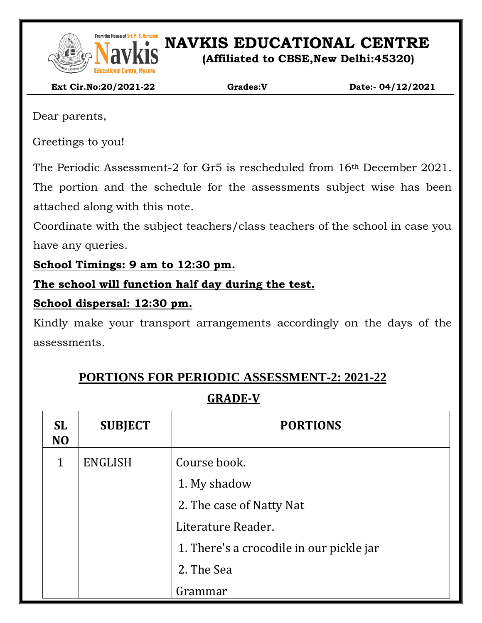

From the House of Sri. M. S. Ramaidah<br>**NAVEL SONG PRESENT IN S. Ramaidah**<br>**NAVEL SONG PRESENT IN SONG PRESENT IN SONG PRESENT IN SONG PRESENT IN SONG PRESENT IN SONG PRESENT IN SONG PRESENT** 

**(Affiliated to CBSE,New Delhi:45320)**

 **Ext Cir.No:20/2021-22 Grades:V Date:- 04/12/2021**

Dear parents,

Greetings to you!

The Periodic Assessment-2 for Gr5 is rescheduled from 16th December 2021.

The portion and the schedule for the assessments subject wise has been attached along with this note.

Coordinate with the subject teachers/class teachers of the school in case you have any queries.

**School Timings: 9 am to 12:30 pm.**

**The school will function half day during the test.**

### **School dispersal: 12:30 pm.**

Kindly make your transport arrangements accordingly on the days of the assessments.

# **PORTIONS FOR PERIODIC ASSESSMENT-2: 2021-22**

## **GRADE-V**

| <b>SL</b><br>N <sub>O</sub> | <b>SUBJECT</b> | <b>PORTIONS</b>                          |  |
|-----------------------------|----------------|------------------------------------------|--|
| 1                           | <b>ENGLISH</b> | Course book.                             |  |
|                             |                | 1. My shadow                             |  |
|                             |                | 2. The case of Natty Nat                 |  |
|                             |                | Literature Reader.                       |  |
|                             |                | 1. There's a crocodile in our pickle jar |  |
|                             |                | 2. The Sea                               |  |
|                             |                | Grammar                                  |  |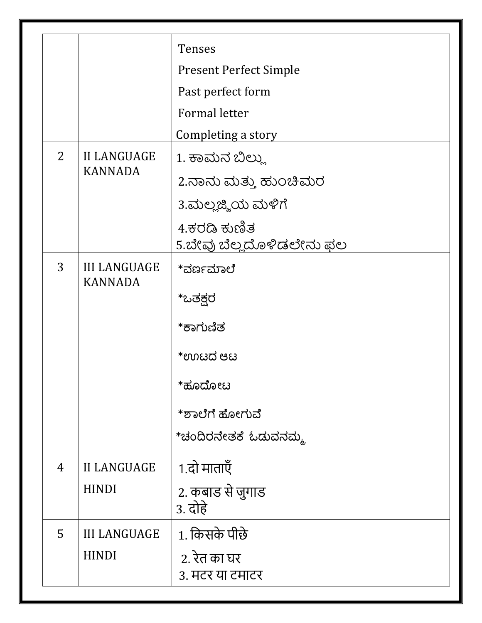|                |                                       | <b>Tenses</b>                            |  |
|----------------|---------------------------------------|------------------------------------------|--|
|                |                                       | <b>Present Perfect Simple</b>            |  |
|                |                                       | Past perfect form                        |  |
|                |                                       | <b>Formal letter</b>                     |  |
|                |                                       | Completing a story                       |  |
| $\overline{2}$ | <b>II LANGUAGE</b><br><b>KANNADA</b>  | 1. ಕಾಮನ ಬಿಲ್ಲು                           |  |
|                |                                       | 2.ನಾನು ಮತ್ತು ಹುಂಚಿಮರ                     |  |
|                |                                       | 3.ಮಲ್ಲಜ್ಜಿಯ ಮಳಿಗೆ                        |  |
|                |                                       | 4.ಕರಡಿ ಕುಣಿತ<br>5.ಬೇವು ಬೆಲ್ಲದೊಳಿಡಲೇನು ಫಲ |  |
| 3              | <b>III LANGUAGE</b><br><b>KANNADA</b> | *ವರ್ಣಮಾಲೆ                                |  |
|                |                                       | *ಒತಕ್ಷರ                                  |  |
|                |                                       | *ಕಾಗುಣಿತ                                 |  |
|                |                                       | *ಉಟದ ಆಟ                                  |  |
|                |                                       | *ಹೂದೋಟ                                   |  |
|                |                                       | *ಶಾಲೆಗೆ ಹೋಗುವೆ                           |  |
|                |                                       | *ಚಂದಿರನೇತಕೆ ಓಡುವನಮ್ಮ                     |  |
| $\overline{4}$ | <b>II LANGUAGE</b>                    | 1.दो माताएँ                              |  |
|                | <b>HINDI</b>                          | 2. कबाड से जुगाड<br>3. दोहे              |  |
| 5              | <b>III LANGUAGE</b><br><b>HINDI</b>   | 1. किसके पीछे                            |  |
|                |                                       | 2. रेत का घर<br>३. मटर या टमाटर          |  |